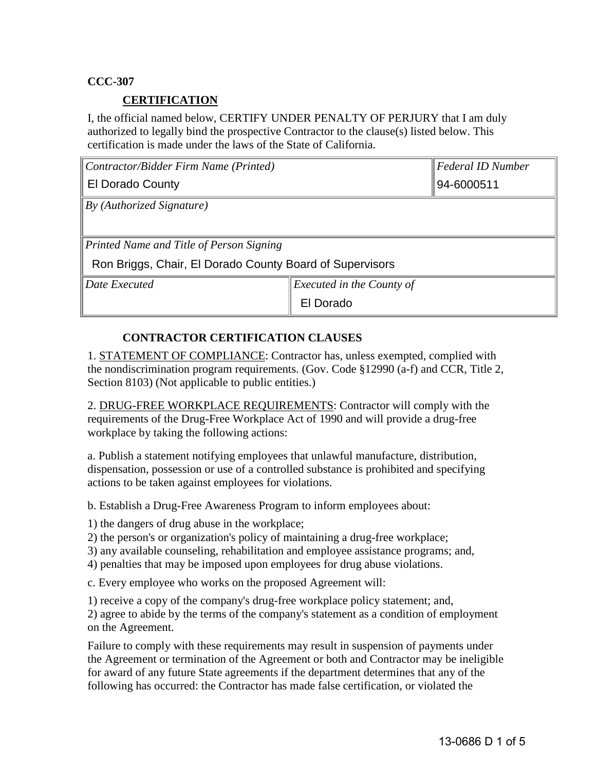### **CCC-307**

### **CERTIFICATION**

I, the official named below, CERTIFY UNDER PENALTY OF PERJURY that I am duly authorized to legally bind the prospective Contractor to the clause(s) listed below. This certification is made under the laws of the State of California.

| Contractor/Bidder Firm Name (Printed)                    |                                  | Federal ID Number |
|----------------------------------------------------------|----------------------------------|-------------------|
| <b>El Dorado County</b>                                  |                                  | 94-6000511        |
| By (Authorized Signature)                                |                                  |                   |
|                                                          |                                  |                   |
| Printed Name and Title of Person Signing                 |                                  |                   |
| Ron Briggs, Chair, El Dorado County Board of Supervisors |                                  |                   |
| Date Executed                                            | <i>Executed in the County of</i> |                   |
|                                                          | El Dorado                        |                   |

## **CONTRACTOR CERTIFICATION CLAUSES**

1. STATEMENT OF COMPLIANCE: Contractor has, unless exempted, complied with the nondiscrimination program requirements. (Gov. Code §12990 (a-f) and CCR, Title 2, Section 8103) (Not applicable to public entities.)

2. DRUG-FREE WORKPLACE REQUIREMENTS: Contractor will comply with the requirements of the Drug-Free Workplace Act of 1990 and will provide a drug-free workplace by taking the following actions:

a. Publish a statement notifying employees that unlawful manufacture, distribution, dispensation, possession or use of a controlled substance is prohibited and specifying actions to be taken against employees for violations.

b. Establish a Drug-Free Awareness Program to inform employees about:

1) the dangers of drug abuse in the workplace;

2) the person's or organization's policy of maintaining a drug-free workplace;

3) any available counseling, rehabilitation and employee assistance programs; and,

4) penalties that may be imposed upon employees for drug abuse violations.

c. Every employee who works on the proposed Agreement will:

1) receive a copy of the company's drug-free workplace policy statement; and, 2) agree to abide by the terms of the company's statement as a condition of employment on the Agreement.

Failure to comply with these requirements may result in suspension of payments under the Agreement or termination of the Agreement or both and Contractor may be ineligible for award of any future State agreements if the department determines that any of the following has occurred: the Contractor has made false certification, or violated the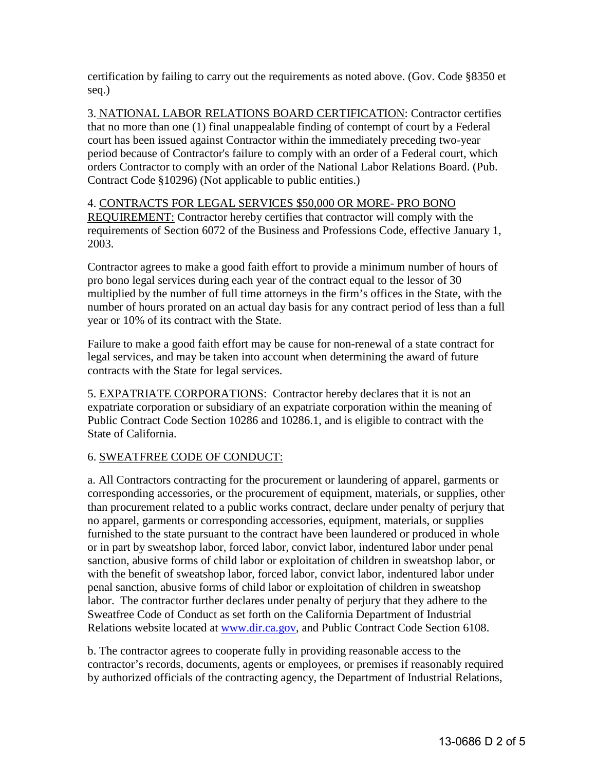certification by failing to carry out the requirements as noted above. (Gov. Code §8350 et seq.)

3. NATIONAL LABOR RELATIONS BOARD CERTIFICATION: Contractor certifies that no more than one (1) final unappealable finding of contempt of court by a Federal court has been issued against Contractor within the immediately preceding two-year period because of Contractor's failure to comply with an order of a Federal court, which orders Contractor to comply with an order of the National Labor Relations Board. (Pub. Contract Code §10296) (Not applicable to public entities.)

#### 4. CONTRACTS FOR LEGAL SERVICES \$50,000 OR MORE- PRO BONO REQUIREMENT: Contractor hereby certifies that contractor will comply with the requirements of Section 6072 of the Business and Professions Code, effective January 1, 2003.

Contractor agrees to make a good faith effort to provide a minimum number of hours of pro bono legal services during each year of the contract equal to the lessor of 30 multiplied by the number of full time attorneys in the firm's offices in the State, with the number of hours prorated on an actual day basis for any contract period of less than a full year or 10% of its contract with the State.

Failure to make a good faith effort may be cause for non-renewal of a state contract for legal services, and may be taken into account when determining the award of future contracts with the State for legal services.

5. EXPATRIATE CORPORATIONS: Contractor hereby declares that it is not an expatriate corporation or subsidiary of an expatriate corporation within the meaning of Public Contract Code Section 10286 and 10286.1, and is eligible to contract with the State of California.

# 6. SWEATFREE CODE OF CONDUCT:

a. All Contractors contracting for the procurement or laundering of apparel, garments or corresponding accessories, or the procurement of equipment, materials, or supplies, other than procurement related to a public works contract, declare under penalty of perjury that no apparel, garments or corresponding accessories, equipment, materials, or supplies furnished to the state pursuant to the contract have been laundered or produced in whole or in part by sweatshop labor, forced labor, convict labor, indentured labor under penal sanction, abusive forms of child labor or exploitation of children in sweatshop labor, or with the benefit of sweatshop labor, forced labor, convict labor, indentured labor under penal sanction, abusive forms of child labor or exploitation of children in sweatshop labor. The contractor further declares under penalty of perjury that they adhere to the Sweatfree Code of Conduct as set forth on the California Department of Industrial Relations website located at [www.dir.ca.gov,](http://www.dir.ca.gov/) and Public Contract Code Section 6108.

b. The contractor agrees to cooperate fully in providing reasonable access to the contractor's records, documents, agents or employees, or premises if reasonably required by authorized officials of the contracting agency, the Department of Industrial Relations,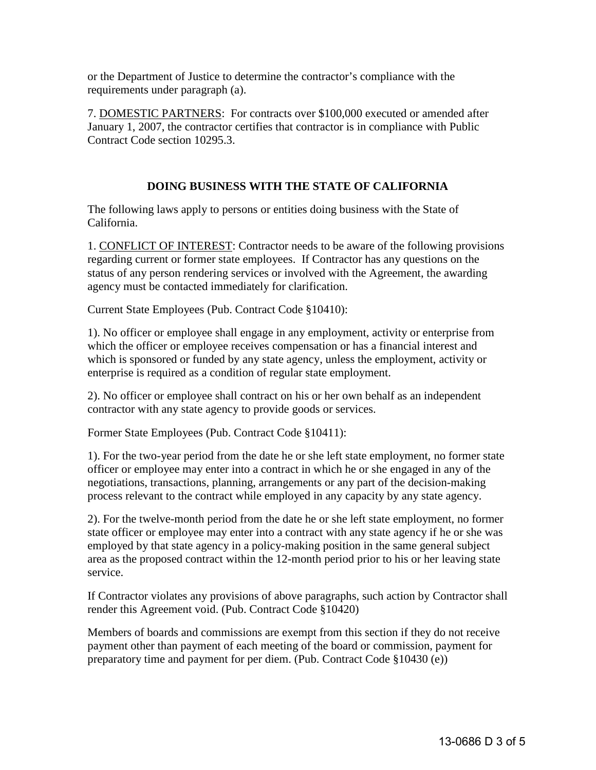or the Department of Justice to determine the contractor's compliance with the requirements under paragraph (a).

7. DOMESTIC PARTNERS: For contracts over \$100,000 executed or amended after January 1, 2007, the contractor certifies that contractor is in compliance with Public Contract Code section 10295.3.

## **DOING BUSINESS WITH THE STATE OF CALIFORNIA**

The following laws apply to persons or entities doing business with the State of California.

1. CONFLICT OF INTEREST: Contractor needs to be aware of the following provisions regarding current or former state employees. If Contractor has any questions on the status of any person rendering services or involved with the Agreement, the awarding agency must be contacted immediately for clarification.

Current State Employees (Pub. Contract Code §10410):

1). No officer or employee shall engage in any employment, activity or enterprise from which the officer or employee receives compensation or has a financial interest and which is sponsored or funded by any state agency, unless the employment, activity or enterprise is required as a condition of regular state employment.

2). No officer or employee shall contract on his or her own behalf as an independent contractor with any state agency to provide goods or services.

Former State Employees (Pub. Contract Code §10411):

1). For the two-year period from the date he or she left state employment, no former state officer or employee may enter into a contract in which he or she engaged in any of the negotiations, transactions, planning, arrangements or any part of the decision-making process relevant to the contract while employed in any capacity by any state agency.

2). For the twelve-month period from the date he or she left state employment, no former state officer or employee may enter into a contract with any state agency if he or she was employed by that state agency in a policy-making position in the same general subject area as the proposed contract within the 12-month period prior to his or her leaving state service.

If Contractor violates any provisions of above paragraphs, such action by Contractor shall render this Agreement void. (Pub. Contract Code §10420)

Members of boards and commissions are exempt from this section if they do not receive payment other than payment of each meeting of the board or commission, payment for preparatory time and payment for per diem. (Pub. Contract Code §10430 (e))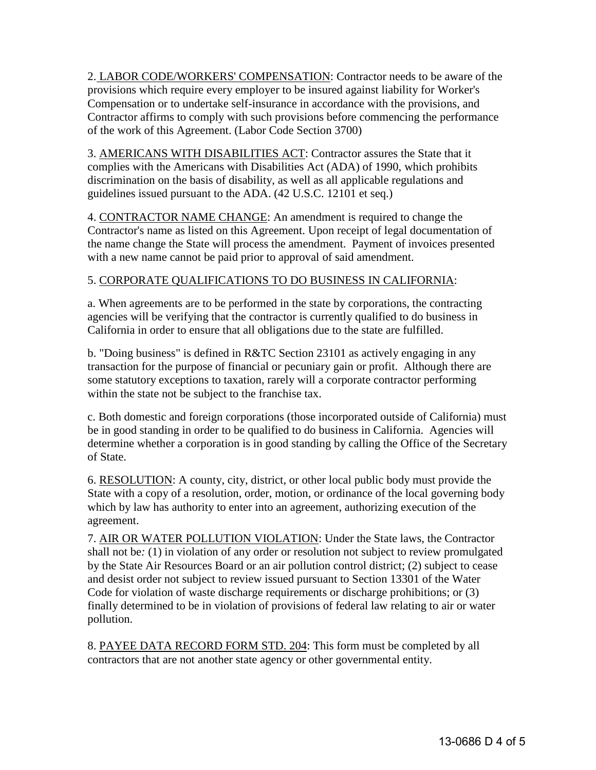2. LABOR CODE/WORKERS' COMPENSATION: Contractor needs to be aware of the provisions which require every employer to be insured against liability for Worker's Compensation or to undertake self-insurance in accordance with the provisions, and Contractor affirms to comply with such provisions before commencing the performance of the work of this Agreement. (Labor Code Section 3700)

3. AMERICANS WITH DISABILITIES ACT: Contractor assures the State that it complies with the Americans with Disabilities Act (ADA) of 1990, which prohibits discrimination on the basis of disability, as well as all applicable regulations and guidelines issued pursuant to the ADA. (42 U.S.C. 12101 et seq.)

4. CONTRACTOR NAME CHANGE: An amendment is required to change the Contractor's name as listed on this Agreement. Upon receipt of legal documentation of the name change the State will process the amendment. Payment of invoices presented with a new name cannot be paid prior to approval of said amendment.

## 5. CORPORATE QUALIFICATIONS TO DO BUSINESS IN CALIFORNIA:

a. When agreements are to be performed in the state by corporations, the contracting agencies will be verifying that the contractor is currently qualified to do business in California in order to ensure that all obligations due to the state are fulfilled.

b. "Doing business" is defined in R&TC Section 23101 as actively engaging in any transaction for the purpose of financial or pecuniary gain or profit. Although there are some statutory exceptions to taxation, rarely will a corporate contractor performing within the state not be subject to the franchise tax.

c. Both domestic and foreign corporations (those incorporated outside of California) must be in good standing in order to be qualified to do business in California. Agencies will determine whether a corporation is in good standing by calling the Office of the Secretary of State.

6. RESOLUTION: A county, city, district, or other local public body must provide the State with a copy of a resolution, order, motion, or ordinance of the local governing body which by law has authority to enter into an agreement, authorizing execution of the agreement.

7. AIR OR WATER POLLUTION VIOLATION: Under the State laws, the Contractor shall not be*:* (1) in violation of any order or resolution not subject to review promulgated by the State Air Resources Board or an air pollution control district; (2) subject to cease and desist order not subject to review issued pursuant to Section 13301 of the Water Code for violation of waste discharge requirements or discharge prohibitions; or (3) finally determined to be in violation of provisions of federal law relating to air or water pollution.

8. PAYEE DATA RECORD FORM STD. 204: This form must be completed by all contractors that are not another state agency or other governmental entity.